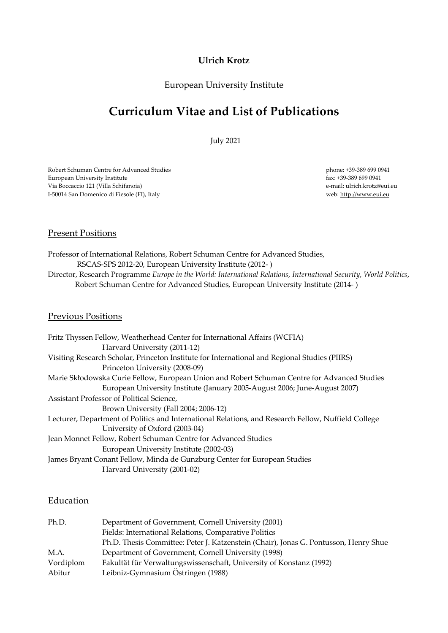## **Ulrich Krotz**

## European University Institute

# **Curriculum Vitae and List of Publications**

July 2021

Robert Schuman Centre for Advanced Studies European University Institute Via Boccaccio 121 (Villa Schifanoia) I-50014 San Domenico di Fiesole (FI), Italy

 phone: +39-389 699 0941 fax: +39-389 699 0941 e-mail: ulrich.krotz@eui.eu web: http://www.eui.eu

#### **Present Positions**

Professor of International Relations, Robert Schuman Centre for Advanced Studies, RSCAS-SPS 2012-20, European University Institute (2012- ) Director, Research Programme *Europe in the World: International Relations, International Security, World Politics*, Robert Schuman Centre for Advanced Studies, European University Institute (2014- )

#### Previous Positions

| Fritz Thyssen Fellow, Weatherhead Center for International Affairs (WCFIA)                          |
|-----------------------------------------------------------------------------------------------------|
| Harvard University (2011-12)                                                                        |
| Visiting Research Scholar, Princeton Institute for International and Regional Studies (PIIRS)       |
| Princeton University (2008-09)                                                                      |
| Marie Skłodowska Curie Fellow, European Union and Robert Schuman Centre for Advanced Studies        |
| European University Institute (January 2005-August 2006; June-August 2007)                          |
| Assistant Professor of Political Science,                                                           |
| Brown University (Fall 2004; 2006-12)                                                               |
| Lecturer, Department of Politics and International Relations, and Research Fellow, Nuffield College |
| University of Oxford (2003-04)                                                                      |
| Jean Monnet Fellow, Robert Schuman Centre for Advanced Studies                                      |
| European University Institute (2002-03)                                                             |
| James Bryant Conant Fellow, Minda de Gunzburg Center for European Studies                           |
| Harvard University (2001-02)                                                                        |

#### Education

| Ph.D.     | Department of Government, Cornell University (2001)                                  |
|-----------|--------------------------------------------------------------------------------------|
|           | Fields: International Relations, Comparative Politics                                |
|           | Ph.D. Thesis Committee: Peter J. Katzenstein (Chair), Jonas G. Pontusson, Henry Shue |
| M.A.      | Department of Government, Cornell University (1998)                                  |
| Vordiplom | Fakultät für Verwaltungswissenschaft, University of Konstanz (1992)                  |
| Abitur    | Leibniz-Gymnasium Östringen (1988)                                                   |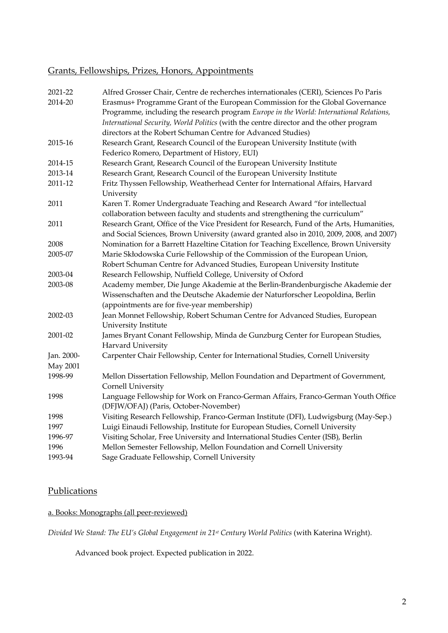## Grants, Fellowships, Prizes, Honors, Appointments

| 2021-22         | Alfred Grosser Chair, Centre de recherches internationales (CERI), Sciences Po Paris                                                                                                 |
|-----------------|--------------------------------------------------------------------------------------------------------------------------------------------------------------------------------------|
| 2014-20         | Erasmus+ Programme Grant of the European Commission for the Global Governance                                                                                                        |
|                 | Programme, including the research program Europe in the World: International Relations,                                                                                              |
|                 | International Security, World Politics (with the centre director and the other program                                                                                               |
|                 | directors at the Robert Schuman Centre for Advanced Studies)                                                                                                                         |
| 2015-16         | Research Grant, Research Council of the European University Institute (with                                                                                                          |
|                 | Federico Romero, Department of History, EUI)                                                                                                                                         |
| 2014-15         | Research Grant, Research Council of the European University Institute                                                                                                                |
| 2013-14         | Research Grant, Research Council of the European University Institute                                                                                                                |
| 2011-12         | Fritz Thyssen Fellowship, Weatherhead Center for International Affairs, Harvard<br>University                                                                                        |
| 2011            | Karen T. Romer Undergraduate Teaching and Research Award "for intellectual                                                                                                           |
|                 | collaboration between faculty and students and strengthening the curriculum"                                                                                                         |
| 2011            | Research Grant, Office of the Vice President for Research, Fund of the Arts, Humanities,<br>and Social Sciences, Brown University (award granted also in 2010, 2009, 2008, and 2007) |
| 2008            | Nomination for a Barrett Hazeltine Citation for Teaching Excellence, Brown University                                                                                                |
| 2005-07         | Marie Skłodowska Curie Fellowship of the Commission of the European Union,                                                                                                           |
|                 | Robert Schuman Centre for Advanced Studies, European University Institute                                                                                                            |
| 2003-04         | Research Fellowship, Nuffield College, University of Oxford                                                                                                                          |
| 2003-08         | Academy member, Die Junge Akademie at the Berlin-Brandenburgische Akademie der                                                                                                       |
|                 | Wissenschaften and the Deutsche Akademie der Naturforscher Leopoldina, Berlin                                                                                                        |
|                 | (appointments are for five-year membership)                                                                                                                                          |
| 2002-03         | Jean Monnet Fellowship, Robert Schuman Centre for Advanced Studies, European                                                                                                         |
|                 | University Institute                                                                                                                                                                 |
| 2001-02         | James Bryant Conant Fellowship, Minda de Gunzburg Center for European Studies,                                                                                                       |
|                 | Harvard University                                                                                                                                                                   |
| Jan. 2000-      | Carpenter Chair Fellowship, Center for International Studies, Cornell University                                                                                                     |
| <b>May 2001</b> |                                                                                                                                                                                      |
| 1998-99         | Mellon Dissertation Fellowship, Mellon Foundation and Department of Government,                                                                                                      |
|                 | Cornell University                                                                                                                                                                   |
| 1998            | Language Fellowship for Work on Franco-German Affairs, Franco-German Youth Office                                                                                                    |
|                 | (DFJW/OFAJ) (Paris, October-November)                                                                                                                                                |
| 1998            | Visiting Research Fellowship, Franco-German Institute (DFI), Ludwigsburg (May-Sep.)                                                                                                  |
| 1997            | Luigi Einaudi Fellowship, Institute for European Studies, Cornell University                                                                                                         |
| 1996-97         | Visiting Scholar, Free University and International Studies Center (ISB), Berlin                                                                                                     |
| 1996            | Mellon Semester Fellowship, Mellon Foundation and Cornell University                                                                                                                 |
| 1993-94         | Sage Graduate Fellowship, Cornell University                                                                                                                                         |
|                 |                                                                                                                                                                                      |

## **Publications**

## a. Books: Monographs (all peer-reviewed)

*Divided We Stand: The EU's Global Engagement in 21st Century World Politics* (with Katerina Wright).

Advanced book project. Expected publication in 2022.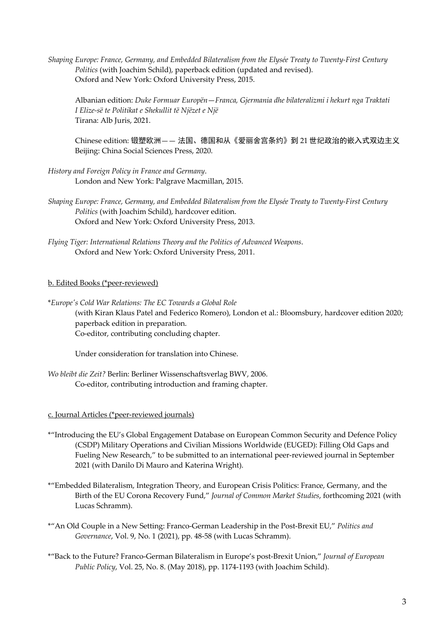*Shaping Europe: France, Germany, and Embedded Bilateralism from the Elysée Treaty to Twenty-First Century Politics* (with Joachim Schild), paperback edition (updated and revised). Oxford and New York: Oxford University Press, 2015.

Albanian edition: *Duke Formuar Europën*—*Franca, Gjermania dhe bilateralizmi i hekurt nga Traktati I Elize-së te Politikat e Shekullit të Njëzet e Një* Tirana: Alb Juris, 2021.

Chinese edition: 锻塑欧洲—— 法国、德国和从《爱丽舍宫条约》到 21 世纪政治的嵌入式双边主义 Beijing: China Social Sciences Press, 2020.

- *History and Foreign Policy in France and Germany*. London and New York: Palgrave Macmillan, 2015.
- *Shaping Europe: France, Germany, and Embedded Bilateralism from the Elysée Treaty to Twenty-First Century Politics* (with Joachim Schild), hardcover edition. Oxford and New York: Oxford University Press, 2013.
- *Flying Tiger: International Relations Theory and the Politics of Advanced Weapons*. Oxford and New York: Oxford University Press, 2011.

#### b. Edited Books (\*peer-reviewed)

\**Europe's Cold War Relations: The EC Towards a Global Role* (with Kiran Klaus Patel and Federico Romero), London et al.: Bloomsbury, hardcover edition 2020; paperback edition in preparation. Co-editor, contributing concluding chapter.

Under consideration for translation into Chinese.

*Wo bleibt die Zeit?* Berlin: Berliner Wissenschaftsverlag BWV, 2006. Co-editor, contributing introduction and framing chapter.

#### c. Journal Articles (\*peer-reviewed journals)

- \*"Introducing the EU's Global Engagement Database on European Common Security and Defence Policy (CSDP) Military Operations and Civilian Missions Worldwide (EUGED): Filling Old Gaps and Fueling New Research," to be submitted to an international peer-reviewed journal in September 2021 (with Danilo Di Mauro and Katerina Wright).
- \*"Embedded Bilateralism, Integration Theory, and European Crisis Politics: France, Germany, and the Birth of the EU Corona Recovery Fund," *Journal of Common Market Studies*, forthcoming 2021 (with Lucas Schramm).
- \*"An Old Couple in a New Setting: Franco-German Leadership in the Post-Brexit EU," *Politics and Governance*, Vol. 9, No. 1 (2021), pp. 48-58 (with Lucas Schramm).
- \*"Back to the Future? Franco-German Bilateralism in Europe's post-Brexit Union," *Journal of European Public Policy*, Vol. 25, No. 8. (May 2018), pp. 1174-1193 (with Joachim Schild).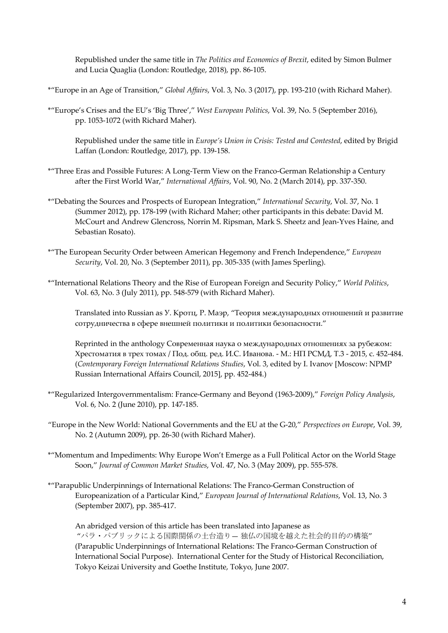Republished under the same title in *The Politics and Economics of Brexit*, edited by Simon Bulmer and Lucia Quaglia (London: Routledge, 2018), pp. 86-105.

- \*"Europe in an Age of Transition," *Global Affairs*, Vol. 3, No. 3 (2017), pp. 193-210 (with Richard Maher).
- \*"Europe's Crises and the EU's 'Big Three'," *West European Politics*, Vol. 39, No. 5 (September 2016), pp. 1053-1072 (with Richard Maher).

Republished under the same title in *Europe's Union in Crisis: Tested and Contested*, edited by Brigid Laffan (London: Routledge, 2017), pp. 139-158.

- \*"Three Eras and Possible Futures: A Long-Term View on the Franco-German Relationship a Century after the First World War," *International Affairs*, Vol. 90, No. 2 (March 2014), pp. 337-350.
- \*"Debating the Sources and Prospects of European Integration," *International Security*, Vol. 37, No. 1 (Summer 2012), pp. 178-199 (with Richard Maher; other participants in this debate: David M. McCourt and Andrew Glencross, Norrin M. Ripsman, Mark S. Sheetz and Jean-Yves Haine, and Sebastian Rosato).
- \*"The European Security Order between American Hegemony and French Independence," *European Security*, Vol. 20, No. 3 (September 2011), pp. 305-335 (with James Sperling).
- \*"International Relations Theory and the Rise of European Foreign and Security Policy," *World Politics*, Vol. 63, No. 3 (July 2011), pp. 548-579 (with Richard Maher).

Translated into Russian as У. Кротц, Р. Маэр, "Теория международных отношений и развитие сотрудничества в сфере внешней политики и политики безопасности."

Reprinted in the anthology Современная наука о международных отношениях за рубежом: Хрестоматия в трех томах / Под. общ. ред. И.С. Иванова. - М.: НП РСМД, Т.3 - 2015, с. 452-484. (*Contemporary Foreign International Relations Studies*, Vol. 3, edited by I. Ivanov [Moscow: NPMP Russian International Affairs Council, 2015], pp. 452-484.)

- \*"Regularized Intergovernmentalism: France-Germany and Beyond (1963-2009)," *Foreign Policy Analysis*, Vol. 6, No. 2 (June 2010), pp. 147-185.
- "Europe in the New World: National Governments and the EU at the G-20," *Perspectives on Europe*, Vol. 39, No. 2 (Autumn 2009), pp. 26-30 (with Richard Maher).
- \*"Momentum and Impediments: Why Europe Won't Emerge as a Full Political Actor on the World Stage Soon," *Journal of Common Market Studies*, Vol. 47, No. 3 (May 2009), pp. 555-578.
- \*"Parapublic Underpinnings of International Relations: The Franco-German Construction of Europeanization of a Particular Kind," *European Journal of International Relations*, Vol. 13, No. 3 (September 2007), pp. 385-417.

An abridged version of this article has been translated into Japanese as "パラ・パブリックによる国際関係の土台造り— 独仏の国境を越えた社会的目的の構築" (Parapublic Underpinnings of International Relations: The Franco-German Construction of International Social Purpose). International Center for the Study of Historical Reconciliation, Tokyo Keizai University and Goethe Institute, Tokyo, June 2007.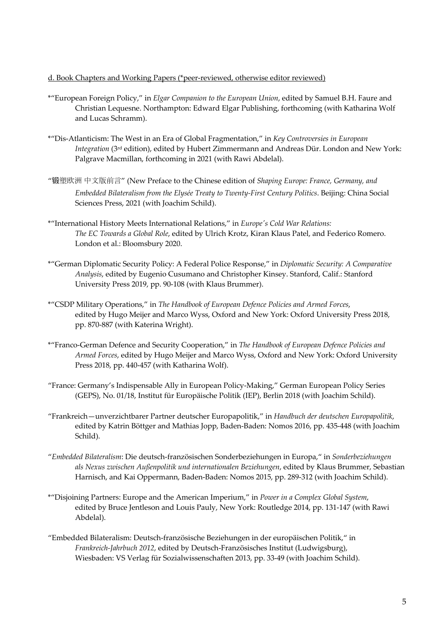#### d. Book Chapters and Working Papers (\*peer-reviewed, otherwise editor reviewed)

- \*"European Foreign Policy," in *Elgar Companion to the European Union*, edited by Samuel B.H. Faure and Christian Lequesne. Northampton: Edward Elgar Publishing, forthcoming (with Katharina Wolf and Lucas Schramm).
- \*"Dis-Atlanticism: The West in an Era of Global Fragmentation," in *Key Controversies in European Integration* (3rd edition), edited by Hubert Zimmermann and Andreas Dür. London and New York: Palgrave Macmillan, forthcoming in 2021 (with Rawi Abdelal).
- "锻塑欧洲 中文版前言" (New Preface to the Chinese edition of *Shaping Europe: France, Germany, and Embedded Bilateralism from the Elysée Treaty to Twenty-First Century Politics*. Beijing: China Social Sciences Press, 2021 (with Joachim Schild).
- \*"International History Meets International Relations," in *Europe's Cold War Relations: The EC Towards a Global Role*, edited by Ulrich Krotz, Kiran Klaus Patel, and Federico Romero. London et al.: Bloomsbury 2020.
- \*"German Diplomatic Security Policy: A Federal Police Response," in *Diplomatic Security: A Comparative Analysis*, edited by Eugenio Cusumano and Christopher Kinsey. Stanford, Calif.: Stanford University Press 2019, pp. 90-108 (with Klaus Brummer).
- \*"CSDP Military Operations," in *The Handbook of European Defence Policies and Armed Forces*, edited by Hugo Meijer and Marco Wyss, Oxford and New York: Oxford University Press 2018, pp. 870-887 (with Katerina Wright).
- \*"Franco-German Defence and Security Cooperation," in *The Handbook of European Defence Policies and Armed Forces*, edited by Hugo Meijer and Marco Wyss, Oxford and New York: Oxford University Press 2018, pp. 440-457 (with Katharina Wolf).
- "France: Germany's Indispensable Ally in European Policy-Making," German European Policy Series (GEPS), No. 01/18, Institut für Europäische Politik (IEP), Berlin 2018 (with Joachim Schild).
- "Frankreich—unverzichtbarer Partner deutscher Europapolitik," in *Handbuch der deutschen Europapolitik*, edited by Katrin Böttger and Mathias Jopp, Baden-Baden: Nomos 2016, pp. 435-448 (with Joachim Schild).
- "*Embedded Bilateralism*: Die deutsch-französischen Sonderbeziehungen in Europa," in *Sonderbeziehungen als Nexus zwischen Außenpolitik und internationalen Beziehungen*, edited by Klaus Brummer, Sebastian Harnisch, and Kai Oppermann, Baden-Baden: Nomos 2015, pp. 289-312 (with Joachim Schild).
- \*"Disjoining Partners: Europe and the American Imperium," in *Power in a Complex Global System*, edited by Bruce Jentleson and Louis Pauly, New York: Routledge 2014, pp. 131-147 (with Rawi Abdelal).
- "Embedded Bilateralism: Deutsch-französische Beziehungen in der europäischen Politik," in *Frankreich-Jahrbuch 2012*, edited by Deutsch-Französisches Institut (Ludwigsburg), Wiesbaden: VS Verlag für Sozialwissenschaften 2013, pp. 33-49 (with Joachim Schild).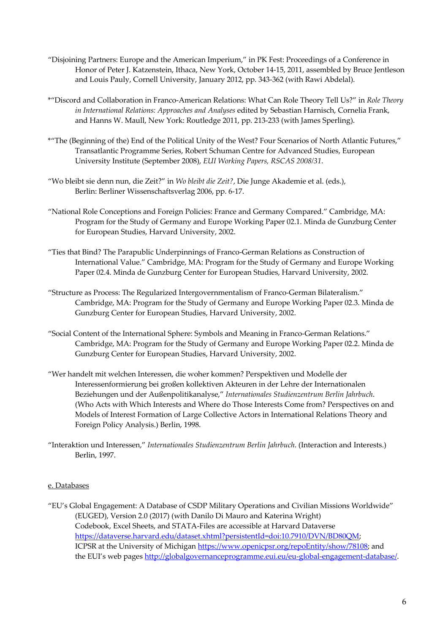- "Disjoining Partners: Europe and the American Imperium," in PK Fest: Proceedings of a Conference in Honor of Peter J. Katzenstein, Ithaca, New York, October 14-15, 2011, assembled by Bruce Jentleson and Louis Pauly, Cornell University, January 2012, pp. 343-362 (with Rawi Abdelal).
- \*"Discord and Collaboration in Franco-American Relations: What Can Role Theory Tell Us?" in *Role Theory in International Relations: Approaches and Analyses* edited by Sebastian Harnisch, Cornelia Frank, and Hanns W. Maull, New York: Routledge 2011, pp. 213-233 (with James Sperling).
- \*"The (Beginning of the) End of the Political Unity of the West? Four Scenarios of North Atlantic Futures," Transatlantic Programme Series, Robert Schuman Centre for Advanced Studies, European University Institute (September 2008), *EUI Working Papers, RSCAS 2008/31*.
- "Wo bleibt sie denn nun, die Zeit?" in *Wo bleibt die Zeit?*, Die Junge Akademie et al. (eds.), Berlin: Berliner Wissenschaftsverlag 2006, pp. 6-17.
- "National Role Conceptions and Foreign Policies: France and Germany Compared." Cambridge, MA: Program for the Study of Germany and Europe Working Paper 02.1. Minda de Gunzburg Center for European Studies, Harvard University, 2002.
- "Ties that Bind? The Parapublic Underpinnings of Franco-German Relations as Construction of International Value." Cambridge, MA: Program for the Study of Germany and Europe Working Paper 02.4. Minda de Gunzburg Center for European Studies, Harvard University, 2002.
- "Structure as Process: The Regularized Intergovernmentalism of Franco-German Bilateralism." Cambridge, MA: Program for the Study of Germany and Europe Working Paper 02.3. Minda de Gunzburg Center for European Studies, Harvard University, 2002.
- "Social Content of the International Sphere: Symbols and Meaning in Franco-German Relations." Cambridge, MA: Program for the Study of Germany and Europe Working Paper 02.2. Minda de Gunzburg Center for European Studies, Harvard University, 2002.
- "Wer handelt mit welchen Interessen, die woher kommen? Perspektiven und Modelle der Interessenformierung bei großen kollektiven Akteuren in der Lehre der Internationalen Beziehungen und der Außenpolitikanalyse," *Internationales Studienzentrum Berlin Jahrbuch*. (Who Acts with Which Interests and Where do Those Interests Come from? Perspectives on and Models of Interest Formation of Large Collective Actors in International Relations Theory and Foreign Policy Analysis.) Berlin, 1998.
- "Interaktion und Interessen," *Internationales Studienzentrum Berlin Jahrbuch*. (Interaction and Interests.) Berlin, 1997.

#### e. Databases

"EU's Global Engagement: A Database of CSDP Military Operations and Civilian Missions Worldwide" (EUGED), Version 2.0 (2017) (with Danilo Di Mauro and Katerina Wright) Codebook, Excel Sheets, and STATA-Files are accessible at Harvard Dataverse https://dataverse.harvard.edu/dataset.xhtml?persistentId=doi:10.7910/DVN/BD80QM; ICPSR at the University of Michigan https://www.openicpsr.org/repoEntity/show/78108; and the EUI's web pages http://globalgovernanceprogramme.eui.eu/eu-global-engagement-database/.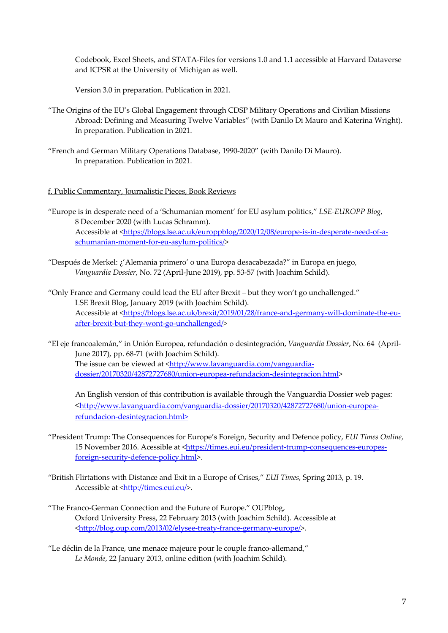Codebook, Excel Sheets, and STATA-Files for versions 1.0 and 1.1 accessible at Harvard Dataverse and ICPSR at the University of Michigan as well.

Version 3.0 in preparation. Publication in 2021.

- "The Origins of the EU's Global Engagement through CDSP Military Operations and Civilian Missions Abroad: Defining and Measuring Twelve Variables" (with Danilo Di Mauro and Katerina Wright). In preparation. Publication in 2021.
- "French and German Military Operations Database, 1990-2020" (with Danilo Di Mauro). In preparation. Publication in 2021.

#### f. Public Commentary, Journalistic Pieces, Book Reviews

"Europe is in desperate need of a 'Schumanian moment' for EU asylum politics," *LSE-EUROPP Blog*, 8 December 2020 (with Lucas Schramm). Accessible at <https://blogs.lse.ac.uk/europpblog/2020/12/08/europe-is-in-desperate-need-of-aschumanian-moment-for-eu-asylum-politics/>

"Después de Merkel: ¿'Alemania primero' o una Europa desacabezada?" in Europa en juego, *Vanguardia Dossier*, No. 72 (April-June 2019), pp. 53-57 (with Joachim Schild).

"Only France and Germany could lead the EU after Brexit – but they won't go unchallenged." LSE Brexit Blog, January 2019 (with Joachim Schild). Accessible at <https://blogs.lse.ac.uk/brexit/2019/01/28/france-and-germany-will-dominate-the-euafter-brexit-but-they-wont-go-unchallenged/>

"El eje francoalemán," in Unión Europea, refundación o desintegración, *Vanguardia Dossier*, No. 64 (April-June 2017), pp. 68-71 (with Joachim Schild). The issue can be viewed at <http://www.lavanguardia.com/vanguardiadossier/20170320/42872727680/union-europea-refundacion-desintegracion.html>

An English version of this contribution is available through the Vanguardia Dossier web pages: <http://www.lavanguardia.com/vanguardia-dossier/20170320/42872727680/union-europearefundacion-desintegracion.html>

- "President Trump: The Consequences for Europe's Foreign, Security and Defence policy, *EUI Times Online*, 15 November 2016. Acessible at <https://times.eui.eu/president-trump-consequences-europesforeign-security-defence-policy.html>.
- "British Flirtations with Distance and Exit in a Europe of Crises," *EUI Times*, Spring 2013, p. 19. Accessible at <http://times.eui.eu/>.
- "The Franco-German Connection and the Future of Europe." OUPblog, Oxford University Press, 22 February 2013 (with Joachim Schild). Accessible at <http://blog.oup.com/2013/02/elysee-treaty-france-germany-europe/>.
- "Le déclin de la France, une menace majeure pour le couple franco-allemand," *Le Monde*, 22 January 2013, online edition (with Joachim Schild).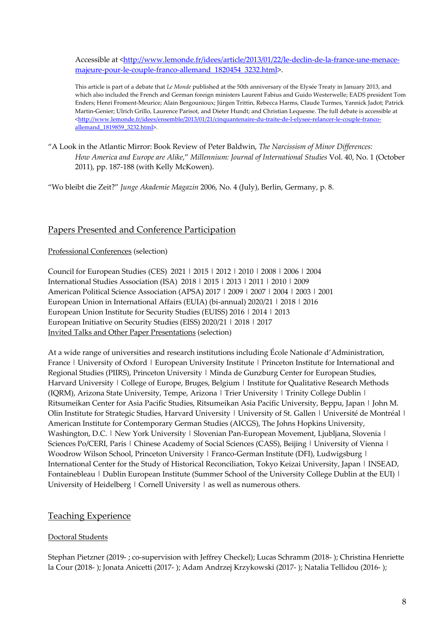Accessible at <http://www.lemonde.fr/idees/article/2013/01/22/le-declin-de-la-france-une-menacemajeure-pour-le-couple-franco-allemand\_1820454\_3232.html>.

This article is part of a debate that *Le Monde* published at the 50th anniversary of the Elysée Treaty in January 2013, and which also included the French and German foreign ministers Laurent Fabius and Guido Westerwelle; EADS president Tom Enders; Henri Froment-Meurice; Alain Bergounioux; Jürgen Trittin, Rebecca Harms, Claude Turmes, Yannick Jadot; Patrick Martin-Genier; Ulrich Grillo, Laurence Parisot, and Dieter Hundt; and Christian Lequesne. The full debate is accessible at <http://www.lemonde.fr/idees/ensemble/2013/01/21/cinquantenaire-du-traite-de-l-elysee-relancer-le-couple-francoallemand\_1819859\_3232.html>.

"A Look in the Atlantic Mirror: Book Review of Peter Baldwin, *The Narcissism of Minor Differences: How America and Europe are Alike*," *Millennium: Journal of International Studies* Vol. 40, No. 1 (October 2011), pp. 187-188 (with Kelly McKowen).

"Wo bleibt die Zeit?" *Junge Akademie Magazin* 2006, No. 4 (July), Berlin, Germany, p. 8.

## Papers Presented and Conference Participation

#### Professional Conferences (selection)

Council for European Studies (CES) 2021 | 2015 | 2012 | 2010 | 2008 | 2006 | 2004 International Studies Association (ISA) 2018 | 2015 | 2013 | 2011 | 2010 | 2009 American Political Science Association (APSA) 2017 | 2009 | 2007 | 2004 | 2003 | 2001 European Union in International Affairs (EUIA) (bi-annual) 2020/21 | 2018 | 2016 European Union Institute for Security Studies (EUISS) 2016 | 2014 | 2013 European Initiative on Security Studies (EISS) 2020/21 | 2018 | 2017 Invited Talks and Other Paper Presentations (selection)

At a wide range of universities and research institutions including École Nationale d'Administration, France | University of Oxford | European University Institute | Princeton Institute for International and Regional Studies (PIIRS), Princeton University | Minda de Gunzburg Center for European Studies, Harvard University | College of Europe, Bruges, Belgium | Institute for Qualitative Research Methods (IQRM), Arizona State University, Tempe, Arizona | Trier University | Trinity College Dublin | Ritsumeikan Center for Asia Pacific Studies, Ritsumeikan Asia Pacific University, Beppu, Japan | John M. Olin Institute for Strategic Studies, Harvard University | University of St. Gallen | Université de Montréal | American Institute for Contemporary German Studies (AICGS), The Johns Hopkins University, Washington, D.C. | New York University | Slovenian Pan-European Movement, Ljubljana, Slovenia | Sciences Po/CERI, Paris | Chinese Academy of Social Sciences (CASS), Beijing | University of Vienna | Woodrow Wilson School, Princeton University | Franco-German Institute (DFI), Ludwigsburg | International Center for the Study of Historical Reconciliation, Tokyo Keizai University, Japan | INSEAD, Fontainebleau | Dublin European Institute (Summer School of the University College Dublin at the EUI) | University of Heidelberg | Cornell University | as well as numerous others.

#### Teaching Experience

#### Doctoral Students

Stephan Pietzner (2019- ; co-supervision with Jeffrey Checkel); Lucas Schramm (2018- ); Christina Henriette la Cour (2018- ); Jonata Anicetti (2017- ); Adam Andrzej Krzykowski (2017- ); Natalia Tellidou (2016- );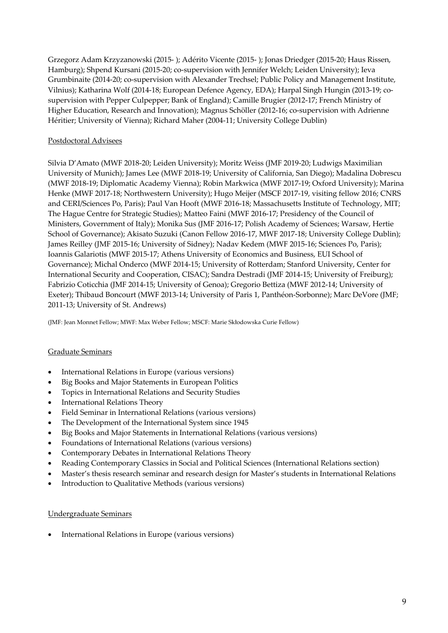Grzegorz Adam Krzyzanowski (2015- ); Adérito Vicente (2015- ); Jonas Driedger (2015-20; Haus Rissen, Hamburg); Shpend Kursani (2015-20; co-supervision with Jennifer Welch; Leiden University); Ieva Grumbinaite (2014-20; co-supervision with Alexander Trechsel; Public Policy and Management Institute, Vilnius); Katharina Wolf (2014-18; European Defence Agency, EDA); Harpal Singh Hungin (2013-19; cosupervision with Pepper Culpepper; Bank of England); Camille Brugier (2012-17; French Ministry of Higher Education, Research and Innovation); Magnus Schöller (2012-16; co-supervision with Adrienne Héritier; University of Vienna); Richard Maher (2004-11; University College Dublin)

#### Postdoctoral Advisees

Silvia D'Amato (MWF 2018-20; Leiden University); Moritz Weiss (JMF 2019-20; Ludwigs Maximilian University of Munich); James Lee (MWF 2018-19; University of California, San Diego); Madalina Dobrescu (MWF 2018-19; Diplomatic Academy Vienna); Robin Markwica (MWF 2017-19; Oxford University); Marina Henke (MWF 2017-18; Northwestern University); Hugo Meijer (MSCF 2017-19, visiting fellow 2016; CNRS and CERI/Sciences Po, Paris); Paul Van Hooft (MWF 2016-18; Massachusetts Institute of Technology, MIT; The Hague Centre for Strategic Studies); Matteo Faini (MWF 2016-17; Presidency of the Council of Ministers, Government of Italy); Monika Sus (JMF 2016-17; Polish Academy of Sciences; Warsaw, Hertie School of Governance); Akisato Suzuki (Canon Fellow 2016-17, MWF 2017-18; University College Dublin); James Reilley (JMF 2015-16; University of Sidney); Nadav Kedem (MWF 2015-16; Sciences Po, Paris); Ioannis Galariotis (MWF 2015-17; Athens University of Economics and Business, EUI School of Governance); Michal Onderco (MWF 2014-15; University of Rotterdam; Stanford University, Center for International Security and Cooperation, CISAC); Sandra Destradi (JMF 2014-15; University of Freiburg); Fabrizio Coticchia (JMF 2014-15; University of Genoa); Gregorio Bettiza (MWF 2012-14; University of Exeter); Thibaud Boncourt (MWF 2013-14; University of Paris 1, Panthéon-Sorbonne); Marc DeVore (JMF; 2011-13; University of St. Andrews)

(JMF: Jean Monnet Fellow; MWF: Max Weber Fellow; MSCF: Marie Skłodowska Curie Fellow)

#### Graduate Seminars

- International Relations in Europe (various versions)
- Big Books and Major Statements in European Politics
- Topics in International Relations and Security Studies
- International Relations Theory
- Field Seminar in International Relations (various versions)
- The Development of the International System since 1945
- Big Books and Major Statements in International Relations (various versions)
- Foundations of International Relations (various versions)
- Contemporary Debates in International Relations Theory
- Reading Contemporary Classics in Social and Political Sciences (International Relations section)
- Master's thesis research seminar and research design for Master's students in International Relations
- Introduction to Qualitative Methods (various versions)

#### Undergraduate Seminars

• International Relations in Europe (various versions)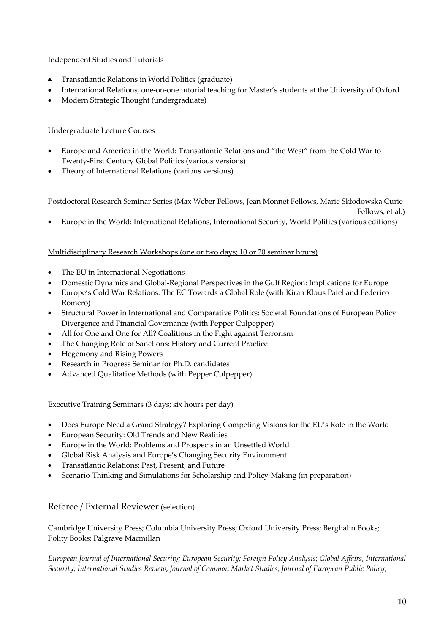### Independent Studies and Tutorials

- Transatlantic Relations in World Politics (graduate)
- International Relations, one-on-one tutorial teaching for Master's students at the University of Oxford
- Modern Strategic Thought (undergraduate)

### Undergraduate Lecture Courses

- Europe and America in the World: Transatlantic Relations and "the West" from the Cold War to Twenty-First Century Global Politics (various versions)
- Theory of International Relations (various versions)

Postdoctoral Research Seminar Series (Max Weber Fellows, Jean Monnet Fellows, Marie Skłodowska Curie

Fellows, et al.)

• Europe in the World: International Relations, International Security, World Politics (various editions)

#### Multidisciplinary Research Workshops (one or two days; 10 or 20 seminar hours)

- The EU in International Negotiations
- Domestic Dynamics and Global-Regional Perspectives in the Gulf Region: Implications for Europe
- Europe's Cold War Relations: The EC Towards a Global Role (with Kiran Klaus Patel and Federico Romero)
- Structural Power in International and Comparative Politics: Societal Foundations of European Policy Divergence and Financial Governance (with Pepper Culpepper)
- All for One and One for All? Coalitions in the Fight against Terrorism
- The Changing Role of Sanctions: History and Current Practice
- Hegemony and Rising Powers
- Research in Progress Seminar for Ph.D. candidates
- Advanced Qualitative Methods (with Pepper Culpepper)

Executive Training Seminars (3 days; six hours per day)

- Does Europe Need a Grand Strategy? Exploring Competing Visions for the EU's Role in the World
- European Security: Old Trends and New Realities
- Europe in the World: Problems and Prospects in an Unsettled World
- Global Risk Analysis and Europe's Changing Security Environment
- Transatlantic Relations: Past, Present, and Future
- Scenario-Thinking and Simulations for Scholarship and Policy-Making (in preparation)

#### Referee / External Reviewer (selection)

Cambridge University Press; Columbia University Press; Oxford University Press; Berghahn Books; Polity Books; Palgrave Macmillan

*European Journal of International Security; European Security; Foreign Policy Analysis*; *Global Affairs*, *International Security*; *International Studies Review*; *Journal of Common Market Studies*; *Journal of European Public Policy*;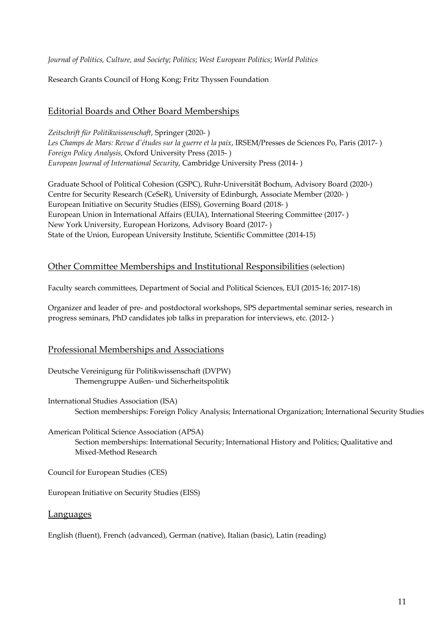*Journal of Politics, Culture, and Society*; *Politics*; *West European Politics*; *World Politics*

Research Grants Council of Hong Kong; Fritz Thyssen Foundation

## Editorial Boards and Other Board Memberships

*Zeitschrift für Politikwissenschaft*, Springer (2020- ) *Les Champs de Mars: Revue d'études sur la guerre et la paix*, IRSEM/Presses de Sciences Po, Paris (2017- ) *Foreign Policy Analysis*, Oxford University Press (2015- ) *European Journal of International Security*, Cambridge University Press (2014- )

Graduate School of Political Cohesion (GSPC), Ruhr-Universität Bochum, Advisory Board (2020-) Centre for Security Research (CeSeR), University of Edinburgh, Associate Member (2020- ) European Initiative on Security Studies (EISS), Governing Board (2018- ) European Union in International Affairs (EUIA), International Steering Committee (2017- ) New York University, European Horizons, Advisory Board (2017- ) State of the Union, European University Institute, Scientific Committee (2014-15)

## Other Committee Memberships and Institutional Responsibilities (selection)

Faculty search committees, Department of Social and Political Sciences, EUI (2015-16; 2017-18)

Organizer and leader of pre- and postdoctoral workshops, SPS departmental seminar series, research in progress seminars, PhD candidates job talks in preparation for interviews, etc. (2012- )

#### Professional Memberships and Associations

- Deutsche Vereinigung für Politikwissenschaft (DVPW) Themengruppe Außen- und Sicherheitspolitik
- International Studies Association (ISA) Section memberships: Foreign Policy Analysis; International Organization; International Security Studies
- American Political Science Association (APSA) Section memberships: International Security; International History and Politics; Qualitative and Mixed-Method Research

Council for European Studies (CES)

European Initiative on Security Studies (EISS)

#### Languages

English (fluent), French (advanced), German (native), Italian (basic), Latin (reading)